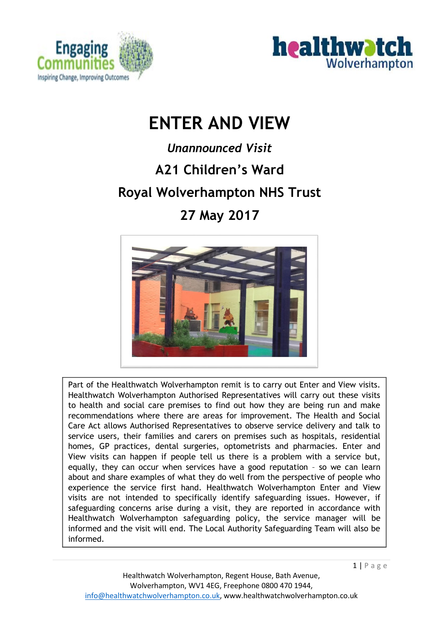



# **ENTER AND VIEW**

# *Unannounced Visit*  **A21 Children's Ward Royal Wolverhampton NHS Trust 27 May 2017**



Part of the Healthwatch Wolverhampton remit is to carry out Enter and View visits. Healthwatch Wolverhampton Authorised Representatives will carry out these visits to health and social care premises to find out how they are being run and make recommendations where there are areas for improvement. The Health and Social Care Act allows Authorised Representatives to observe service delivery and talk to service users, their families and carers on premises such as hospitals, residential homes, GP practices, dental surgeries, optometrists and pharmacies. Enter and View visits can happen if people tell us there is a problem with a service but, equally, they can occur when services have a good reputation – so we can learn about and share examples of what they do well from the perspective of people who experience the service first hand. Healthwatch Wolverhampton Enter and View visits are not intended to specifically identify safeguarding issues. However, if safeguarding concerns arise during a visit, they are reported in accordance with Healthwatch Wolverhampton safeguarding policy, the service manager will be informed and the visit will end. The Local Authority Safeguarding Team will also be informed.

 $1 | P$  a g e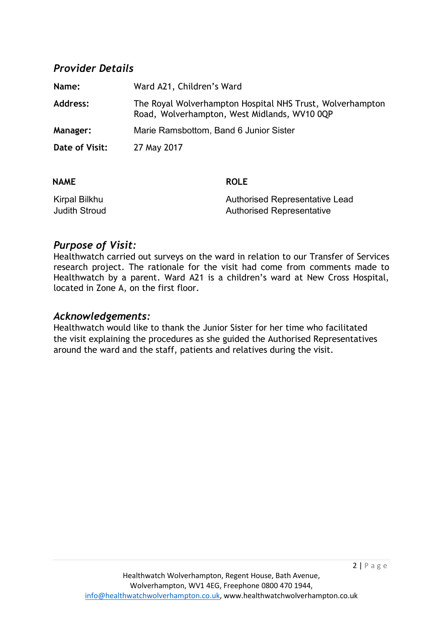## *Provider Details*

| Name:           | Ward A21, Children's Ward                                                                                 |
|-----------------|-----------------------------------------------------------------------------------------------------------|
| Address:        | The Royal Wolverhampton Hospital NHS Trust, Wolverhampton<br>Road, Wolverhampton, West Midlands, WV10 0QP |
| <b>Manager:</b> | Marie Ramsbottom, Band 6 Junior Sister                                                                    |
| Date of Visit:  | 27 May 2017                                                                                               |

| <b>NAME</b>          | <b>ROLE</b>                      |
|----------------------|----------------------------------|
| Kirpal Bilkhu        | Authorised Representative Lead   |
| <b>Judith Stroud</b> | <b>Authorised Representative</b> |

### *Purpose of Visit:*

Healthwatch carried out surveys on the ward in relation to our Transfer of Services research project. The rationale for the visit had come from comments made to Healthwatch by a parent. Ward A21 is a children's ward at New Cross Hospital, located in Zone A, on the first floor.

#### *Acknowledgements:*

Healthwatch would like to thank the Junior Sister for her time who facilitated the visit explaining the procedures as she guided the Authorised Representatives around the ward and the staff, patients and relatives during the visit.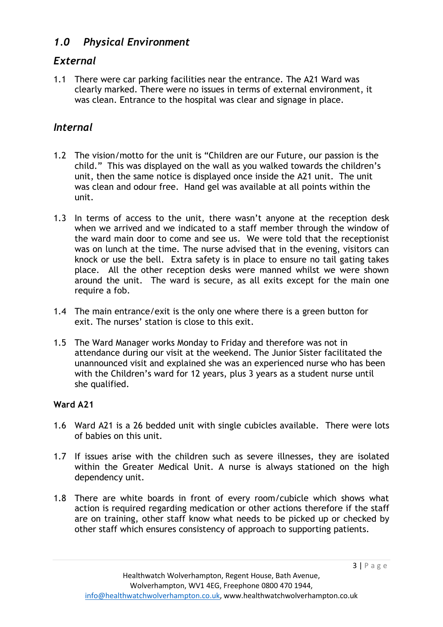# *1.0 Physical Environment*

# *External*

1.1 There were car parking facilities near the entrance. The A21 Ward was clearly marked. There were no issues in terms of external environment, it was clean. Entrance to the hospital was clear and signage in place.

# *Internal*

- 1.2 The vision/motto for the unit is "Children are our Future, our passion is the child." This was displayed on the wall as you walked towards the children's unit, then the same notice is displayed once inside the A21 unit. The unit was clean and odour free. Hand gel was available at all points within the unit.
- 1.3 In terms of access to the unit, there wasn't anyone at the reception desk when we arrived and we indicated to a staff member through the window of the ward main door to come and see us. We were told that the receptionist was on lunch at the time. The nurse advised that in the evening, visitors can knock or use the bell. Extra safety is in place to ensure no tail gating takes place. All the other reception desks were manned whilst we were shown around the unit. The ward is secure, as all exits except for the main one require a fob.
- 1.4 The main entrance/exit is the only one where there is a green button for exit. The nurses' station is close to this exit.
- 1.5 The Ward Manager works Monday to Friday and therefore was not in attendance during our visit at the weekend. The Junior Sister facilitated the unannounced visit and explained she was an experienced nurse who has been with the Children's ward for 12 years, plus 3 years as a student nurse until she qualified.

### **Ward A21**

- 1.6 Ward A21 is a 26 bedded unit with single cubicles available. There were lots of babies on this unit.
- 1.7 If issues arise with the children such as severe illnesses, they are isolated within the Greater Medical Unit. A nurse is always stationed on the high dependency unit.
- 1.8 There are white boards in front of every room/cubicle which shows what action is required regarding medication or other actions therefore if the staff are on training, other staff know what needs to be picked up or checked by other staff which ensures consistency of approach to supporting patients.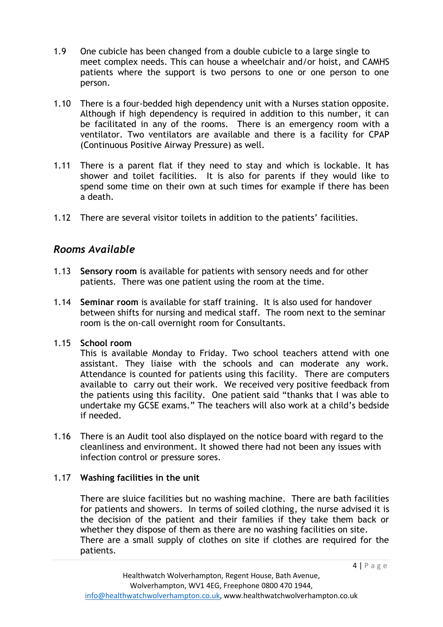- 1.9 One cubicle has been changed from a double cubicle to a large single to meet complex needs. This can house a wheelchair and/or hoist, and CAMHS patients where the support is two persons to one or one person to one person.
- 1.10 There is a four-bedded high dependency unit with a Nurses station opposite. Although if high dependency is required in addition to this number, it can be facilitated in any of the rooms. There is an emergency room with a ventilator. Two ventilators are available and there is a facility for CPAP (Continuous Positive Airway Pressure) as well.
- 1.11 There is a parent flat if they need to stay and which is lockable. It has shower and toilet facilities. It is also for parents if they would like to spend some time on their own at such times for example if there has been a death.
- 1.12 There are several visitor toilets in addition to the patients' facilities.

# *Rooms Available*

- 1.13 **Sensory room** is available for patients with sensory needs and for other patients. There was one patient using the room at the time.
- 1.14 **Seminar room** is available for staff training. It is also used for handover between shifts for nursing and medical staff. The room next to the seminar room is the on-call overnight room for Consultants.
- 1.15 **School room**

This is available Monday to Friday. Two school teachers attend with one assistant. They liaise with the schools and can moderate any work. Attendance is counted for patients using this facility. There are computers available to carry out their work. We received very positive feedback from the patients using this facility. One patient said "thanks that I was able to undertake my GCSE exams." The teachers will also work at a child's bedside if needed.

1.16 There is an Audit tool also displayed on the notice board with regard to the cleanliness and environment. It showed there had not been any issues with infection control or pressure sores.

### 1.17 **Washing facilities in the unit**

There are sluice facilities but no washing machine. There are bath facilities for patients and showers. In terms of soiled clothing, the nurse advised it is the decision of the patient and their families if they take them back or whether they dispose of them as there are no washing facilities on site. There are a small supply of clothes on site if clothes are required for the patients.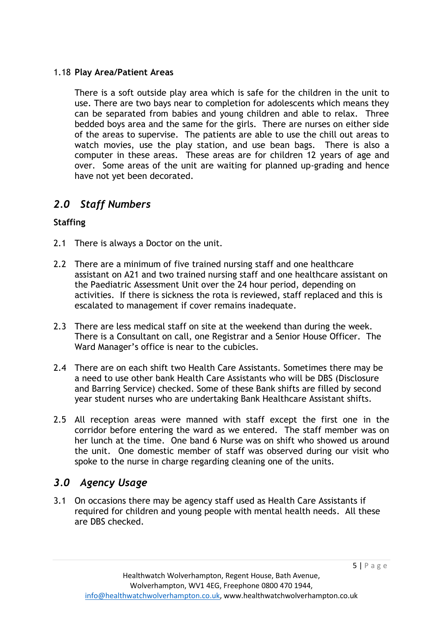#### 1.18 **Play Area/Patient Areas**

There is a soft outside play area which is safe for the children in the unit to use. There are two bays near to completion for adolescents which means they can be separated from babies and young children and able to relax. Three bedded boys area and the same for the girls. There are nurses on either side of the areas to supervise. The patients are able to use the chill out areas to watch movies, use the play station, and use bean bags. There is also a computer in these areas. These areas are for children 12 years of age and over. Some areas of the unit are waiting for planned up-grading and hence have not yet been decorated.

## *2.0 Staff Numbers*

#### **Staffing**

- 2.1 There is always a Doctor on the unit.
- 2.2 There are a minimum of five trained nursing staff and one healthcare assistant on A21 and two trained nursing staff and one healthcare assistant on the Paediatric Assessment Unit over the 24 hour period, depending on activities. If there is sickness the rota is reviewed, staff replaced and this is escalated to management if cover remains inadequate.
- 2.3 There are less medical staff on site at the weekend than during the week. There is a Consultant on call, one Registrar and a Senior House Officer. The Ward Manager's office is near to the cubicles.
- 2.4 There are on each shift two Health Care Assistants. Sometimes there may be a need to use other bank Health Care Assistants who will be DBS (Disclosure and Barring Service) checked. Some of these Bank shifts are filled by second year student nurses who are undertaking Bank Healthcare Assistant shifts.
- 2.5 All reception areas were manned with staff except the first one in the corridor before entering the ward as we entered. The staff member was on her lunch at the time. One band 6 Nurse was on shift who showed us around the unit. One domestic member of staff was observed during our visit who spoke to the nurse in charge regarding cleaning one of the units.

## *3.0 Agency Usage*

3.1 On occasions there may be agency staff used as Health Care Assistants if required for children and young people with mental health needs. All these are DBS checked.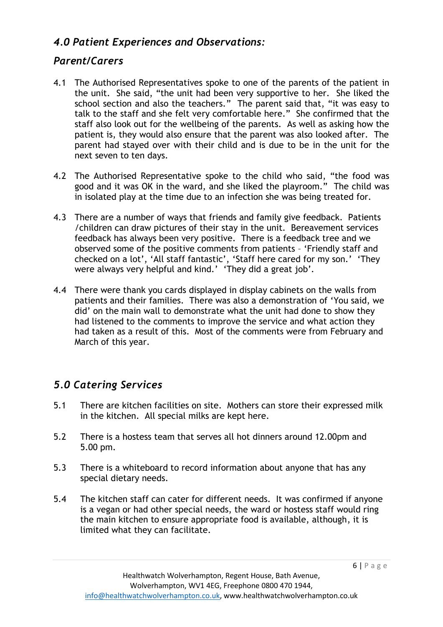# *4.0 Patient Experiences and Observations:*

# *Parent/Carers*

- 4.1 The Authorised Representatives spoke to one of the parents of the patient in the unit. She said, "the unit had been very supportive to her. She liked the school section and also the teachers." The parent said that, "it was easy to talk to the staff and she felt very comfortable here." She confirmed that the staff also look out for the wellbeing of the parents. As well as asking how the patient is, they would also ensure that the parent was also looked after. The parent had stayed over with their child and is due to be in the unit for the next seven to ten days.
- 4.2 The Authorised Representative spoke to the child who said, "the food was good and it was OK in the ward, and she liked the playroom." The child was in isolated play at the time due to an infection she was being treated for.
- 4.3 There are a number of ways that friends and family give feedback. Patients /children can draw pictures of their stay in the unit. Bereavement services feedback has always been very positive. There is a feedback tree and we observed some of the positive comments from patients – 'Friendly staff and checked on a lot', 'All staff fantastic', 'Staff here cared for my son.' 'They were always very helpful and kind.' 'They did a great job'.
- 4.4 There were thank you cards displayed in display cabinets on the walls from patients and their families. There was also a demonstration of 'You said, we did' on the main wall to demonstrate what the unit had done to show they had listened to the comments to improve the service and what action they had taken as a result of this. Most of the comments were from February and March of this year.

# *5.0 Catering Services*

- 5.1 There are kitchen facilities on site. Mothers can store their expressed milk in the kitchen. All special milks are kept here.
- 5.2 There is a hostess team that serves all hot dinners around 12.00pm and 5.00 pm.
- 5.3 There is a whiteboard to record information about anyone that has any special dietary needs.
- 5.4 The kitchen staff can cater for different needs. It was confirmed if anyone is a vegan or had other special needs, the ward or hostess staff would ring the main kitchen to ensure appropriate food is available, although, it is limited what they can facilitate.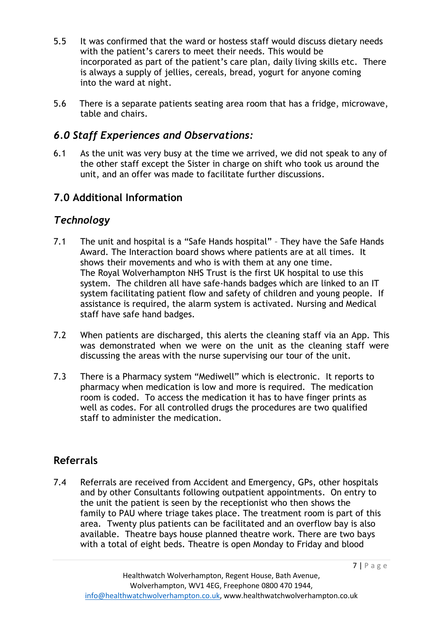- 5.5 It was confirmed that the ward or hostess staff would discuss dietary needs with the patient's carers to meet their needs. This would be incorporated as part of the patient's care plan, daily living skills etc. There is always a supply of jellies, cereals, bread, yogurt for anyone coming into the ward at night.
- 5.6 There is a separate patients seating area room that has a fridge, microwave, table and chairs.

# *6.0 Staff Experiences and Observations:*

6.1 As the unit was very busy at the time we arrived, we did not speak to any of the other staff except the Sister in charge on shift who took us around the unit, and an offer was made to facilitate further discussions.

# **7.0 Additional Information**

# *Technology*

- 7.1 The unit and hospital is a "Safe Hands hospital" They have the Safe Hands Award. The Interaction board shows where patients are at all times. It shows their movements and who is with them at any one time. The Royal Wolverhampton NHS Trust is the first UK hospital to use this system. The children all have safe-hands badges which are linked to an IT system facilitating patient flow and safety of children and young people. If assistance is required, the alarm system is activated. Nursing and Medical staff have safe hand badges.
- 7.2 When patients are discharged, this alerts the cleaning staff via an App. This was demonstrated when we were on the unit as the cleaning staff were discussing the areas with the nurse supervising our tour of the unit.
- 7.3 There is a Pharmacy system "Mediwell" which is electronic. It reports to pharmacy when medication is low and more is required. The medication room is coded. To access the medication it has to have finger prints as well as codes. For all controlled drugs the procedures are two qualified staff to administer the medication.

# **Referrals**

7.4 Referrals are received from Accident and Emergency, GPs, other hospitals and by other Consultants following outpatient appointments. On entry to the unit the patient is seen by the receptionist who then shows the family to PAU where triage takes place. The treatment room is part of this area. Twenty plus patients can be facilitated and an overflow bay is also available. Theatre bays house planned theatre work. There are two bays with a total of eight beds. Theatre is open Monday to Friday and blood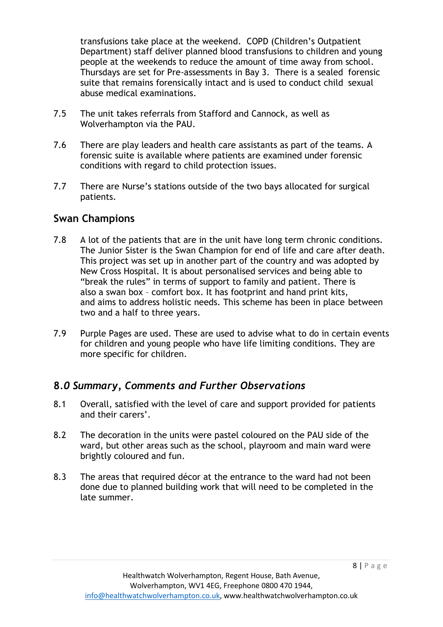transfusions take place at the weekend. COPD (Children's Outpatient Department) staff deliver planned blood transfusions to children and young people at the weekends to reduce the amount of time away from school. Thursdays are set for Pre-assessments in Bay 3. There is a sealed forensic suite that remains forensically intact and is used to conduct child sexual abuse medical examinations.

- 7.5 The unit takes referrals from Stafford and Cannock, as well as Wolverhampton via the PAU.
- 7.6 There are play leaders and health care assistants as part of the teams. A forensic suite is available where patients are examined under forensic conditions with regard to child protection issues.
- 7.7 There are Nurse's stations outside of the two bays allocated for surgical patients.

## **Swan Champions**

- 7.8 A lot of the patients that are in the unit have long term chronic conditions. The Junior Sister is the Swan Champion for end of life and care after death. This project was set up in another part of the country and was adopted by New Cross Hospital. It is about personalised services and being able to "break the rules" in terms of support to family and patient. There is also a swan box – comfort box. It has footprint and hand print kits, and aims to address holistic needs. This scheme has been in place between two and a half to three years.
- 7.9 Purple Pages are used. These are used to advise what to do in certain events for children and young people who have life limiting conditions. They are more specific for children.

## **8***.0 Summary, Comments and Further Observations*

- 8.1 Overall, satisfied with the level of care and support provided for patients and their carers'.
- 8.2 The decoration in the units were pastel coloured on the PAU side of the ward, but other areas such as the school, playroom and main ward were brightly coloured and fun.
- 8.3 The areas that required décor at the entrance to the ward had not been done due to planned building work that will need to be completed in the late summer.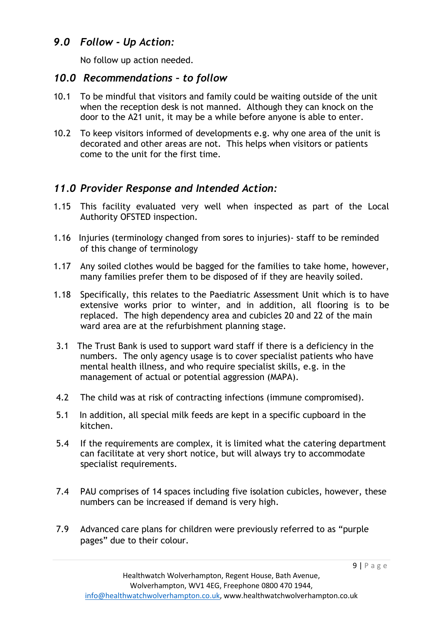## *9.0 Follow - Up Action:*

No follow up action needed.

## *10.0 Recommendations – to follow*

- 10.1 To be mindful that visitors and family could be waiting outside of the unit when the reception desk is not manned. Although they can knock on the door to the A21 unit, it may be a while before anyone is able to enter.
- 10.2 To keep visitors informed of developments e.g. why one area of the unit is decorated and other areas are not. This helps when visitors or patients come to the unit for the first time.

# *11.0 Provider Response and Intended Action:*

- 1.15 This facility evaluated very well when inspected as part of the Local Authority OFSTED inspection.
- 1.16 Injuries (terminology changed from sores to injuries)- staff to be reminded of this change of terminology
- 1.17 Any soiled clothes would be bagged for the families to take home, however, many families prefer them to be disposed of if they are heavily soiled.
- 1.18 Specifically, this relates to the Paediatric Assessment Unit which is to have extensive works prior to winter, and in addition, all flooring is to be replaced. The high dependency area and cubicles 20 and 22 of the main ward area are at the refurbishment planning stage.
- 3.1 The Trust Bank is used to support ward staff if there is a deficiency in the numbers. The only agency usage is to cover specialist patients who have mental health illness, and who require specialist skills, e.g. in the management of actual or potential aggression (MAPA).
- 4.2 The child was at risk of contracting infections (immune compromised).
- 5.1 In addition, all special milk feeds are kept in a specific cupboard in the kitchen.
- 5.4 If the requirements are complex, it is limited what the catering department can facilitate at very short notice, but will always try to accommodate specialist requirements.
- 7.4 PAU comprises of 14 spaces including five isolation cubicles, however, these numbers can be increased if demand is very high.
- 7.9 Advanced care plans for children were previously referred to as "purple pages" due to their colour.